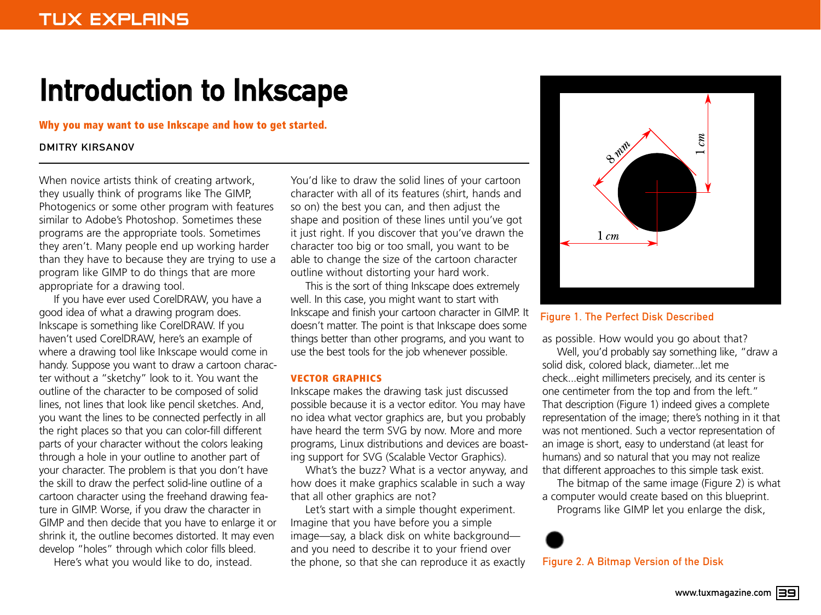# Introduction to Inkscape

**Why you may want to use Inkscape and how to get started.**

#### DMITRY KIRSANOV

When novice artists think of creating artwork, they usually think of programs like The GIMP, Photogenics or some other program with features similar to Adobe's Photoshop. Sometimes these programs are the appropriate tools. Sometimes they aren't. Many people end up working harder than they have to because they are trying to use a program like GIMP to do things that are more appropriate for a drawing tool.

If you have ever used CorelDRAW, you have a good idea of what a drawing program does. Inkscape is something like CorelDRAW. If you haven't used CorelDRAW, here's an example of where a drawing tool like Inkscape would come in handy. Suppose you want to draw a cartoon character without a "sketchy" look to it. You want the outline of the character to be composed of solid lines, not lines that look like pencil sketches. And, you want the lines to be connected perfectly in all the right places so that you can color-fill different parts of your character without the colors leaking through a hole in your outline to another part of your character. The problem is that you don't have the skill to draw the perfect solid-line outline of a cartoon character using the freehand drawing feature in GIMP. Worse, if you draw the character in GIMP and then decide that you have to enlarge it or shrink it, the outline becomes distorted. It may even develop "holes" through which color fills bleed.

Here's what you would like to do, instead.

You'd like to draw the solid lines of your cartoon character with all of its features (shirt, hands and so on) the best you can, and then adjust the shape and position of these lines until you've got it just right. If you discover that you've drawn the character too big or too small, you want to be able to change the size of the cartoon character outline without distorting your hard work.

This is the sort of thing Inkscape does extremely well. In this case, you might want to start with Inkscape and finish your cartoon character in GIMP. It doesn't matter. The point is that Inkscape does some things better than other programs, and you want to use the best tools for the job whenever possible.

#### **VECTOR GRAPHICS**

Inkscape makes the drawing task just discussed possible because it is a vector editor. You may have no idea what vector graphics are, but you probably have heard the term SVG by now. More and more programs, Linux distributions and devices are boasting support for SVG (Scalable Vector Graphics).

What's the buzz? What is a vector anyway, and how does it make graphics scalable in such a way that all other graphics are not?

Let's start with a simple thought experiment. Imagine that you have before you a simple image—say, a black disk on white background and you need to describe it to your friend over the phone, so that she can reproduce it as exactly





as possible. How would you go about that?

Well, you'd probably say something like, "draw a solid disk, colored black, diameter...let me check...eight millimeters precisely, and its center is one centimeter from the top and from the left." That description (Figure 1) indeed gives a complete representation of the image; there's nothing in it that was not mentioned. Such a vector representation of an image is short, easy to understand (at least for humans) and so natural that you may not realize that different approaches to this simple task exist.

The bitmap of the same image (Figure 2) is what a computer would create based on this blueprint. Programs like GIMP let you enlarge the disk,

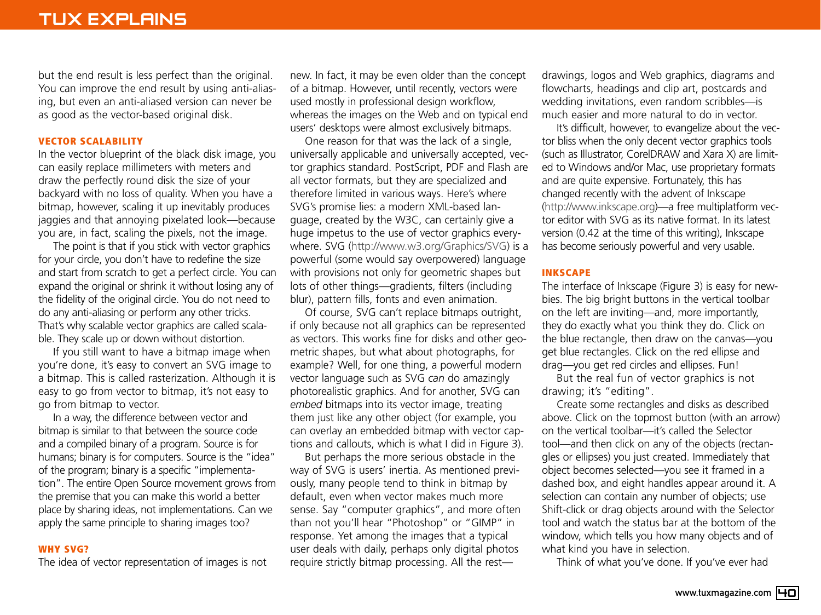but the end result is less perfect than the original. You can improve the end result by using anti-aliasing, but even an anti-aliased version can never be as good as the vector-based original disk.

#### **VECTOR SCALABILITY**

In the vector blueprint of the black disk image, you can easily replace millimeters with meters and draw the perfectly round disk the size of your backyard with no loss of quality. When you have a bitmap, however, scaling it up inevitably produces jaggies and that annoying pixelated look—because you are, in fact, scaling the pixels, not the image.

The point is that if you stick with vector graphics for your circle, you don't have to redefine the size and start from scratch to get a perfect circle. You can expand the original or shrink it without losing any of the fidelity of the original circle. You do not need to do any anti-aliasing or perform any other tricks. That's why scalable vector graphics are called scalable. They scale up or down without distortion.

If you still want to have a bitmap image when you're done, it's easy to convert an SVG image to a bitmap. This is called rasterization. Although it is easy to go from vector to bitmap, it's not easy to go from bitmap to vector.

In a way, the difference between vector and bitmap is similar to that between the source code and a compiled binary of a program. Source is for humans; binary is for computers. Source is the "idea" of the program; binary is a specific "implementation". The entire Open Source movement grows from the premise that you can make this world a better place by sharing ideas, not implementations. Can we apply the same principle to sharing images too?

#### **WHY SVG?**

The idea of vector representation of images is not

new. In fact, it may be even older than the concept of a bitmap. However, until recently, vectors were used mostly in professional design workflow, whereas the images on the Web and on typical end users' desktops were almost exclusively bitmaps.

One reason for that was the lack of a single, universally applicable and universally accepted, vector graphics standard. PostScript, PDF and Flash are all vector formats, but they are specialized and therefore limited in various ways. Here's where SVG's promise lies: a modern XML-based language, created by the W3C, can certainly give a huge impetus to the use of vector graphics everywhere. SVG [\(http://www.w3.org/Graphics/SVG\)](http://www.w3.org/Graphics/SVG) is a powerful (some would say overpowered) language with provisions not only for geometric shapes but lots of other things—gradients, filters (including blur), pattern fills, fonts and even animation.

Of course, SVG can't replace bitmaps outright, if only because not all graphics can be represented as vectors. This works fine for disks and other geometric shapes, but what about photographs, for example? Well, for one thing, a powerful modern vector language such as SVG *can* do amazingly photorealistic graphics. And for another, SVG can *embed* bitmaps into its vector image, treating them just like any other object (for example, you can overlay an embedded bitmap with vector captions and callouts, which is what I did in Figure 3).

But perhaps the more serious obstacle in the way of SVG is users' inertia. As mentioned previously, many people tend to think in bitmap by default, even when vector makes much more sense. Say "computer graphics", and more often than not you'll hear "Photoshop" or "GIMP" in response. Yet among the images that a typical user deals with daily, perhaps only digital photos require strictly bitmap processing. All the rest—

drawings, logos and Web graphics, diagrams and flowcharts, headings and clip art, postcards and wedding invitations, even random scribbles—is much easier and more natural to do in vector.

It's difficult, however, to evangelize about the vector bliss when the only decent vector graphics tools (such as Illustrator, CorelDRAW and Xara X) are limited to Windows and/or Mac, use proprietary formats and are quite expensive. Fortunately, this has changed recently with the advent of Inkscape [\(http://www.inkscape.org\)](http://www.inkscape.org)—a free multiplatform vector editor with SVG as its native format. In its latest version (0.42 at the time of this writing), Inkscape has become seriously powerful and very usable.

#### **INKSCAPE**

The interface of Inkscape (Figure 3) is easy for newbies. The big bright buttons in the vertical toolbar on the left are inviting—and, more importantly, they do exactly what you think they do. Click on the blue rectangle, then draw on the canvas—you get blue rectangles. Click on the red ellipse and drag—you get red circles and ellipses. Fun!

But the real fun of vector graphics is not drawing; it's "editing".

Create some rectangles and disks as described above. Click on the topmost button (with an arrow) on the vertical toolbar—it's called the Selector tool—and then click on any of the objects (rectangles or ellipses) you just created. Immediately that object becomes selected—you see it framed in a dashed box, and eight handles appear around it. A selection can contain any number of objects; use Shift-click or drag objects around with the Selector tool and watch the status bar at the bottom of the window, which tells you how many objects and of what kind you have in selection.

Think of what you've done. If you've ever had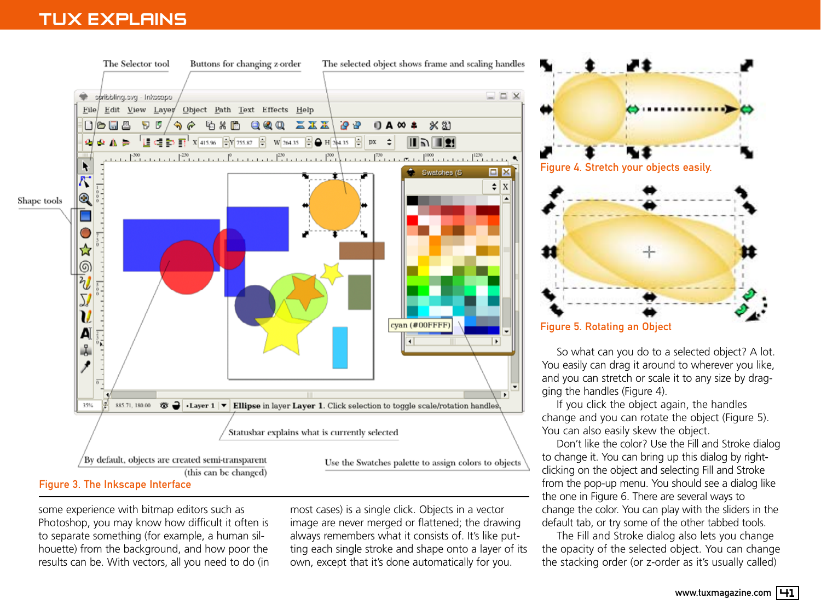# TUX EXPLAINS



some experience with bitmap editors such as Photoshop, you may know how difficult it often is to separate something (for example, a human silhouette) from the background, and how poor the results can be. With vectors, all you need to do (in most cases) is a single click. Objects in a vector image are never merged or flattened; the drawing always remembers what it consists of. It's like putting each single stroke and shape onto a layer of its own, except that it's done automatically for you.



Figure 5. Rotating an Object

So what can you do to a selected object? A lot. You easily can drag it around to wherever you like, and you can stretch or scale it to any size by dragging the handles (Figure 4).

If you click the object again, the handles change and you can rotate the object (Figure 5). You can also easily skew the object.

Don't like the color? Use the Fill and Stroke dialog to change it. You can bring up this dialog by rightclicking on the object and selecting Fill and Stroke from the pop-up menu. You should see a dialog like the one in Figure 6. There are several ways to change the color. You can play with the sliders in the default tab, or try some of the other tabbed tools.

The Fill and Stroke dialog also lets you change the opacity of the selected object. You can change the stacking order (or z-order as it's usually called)